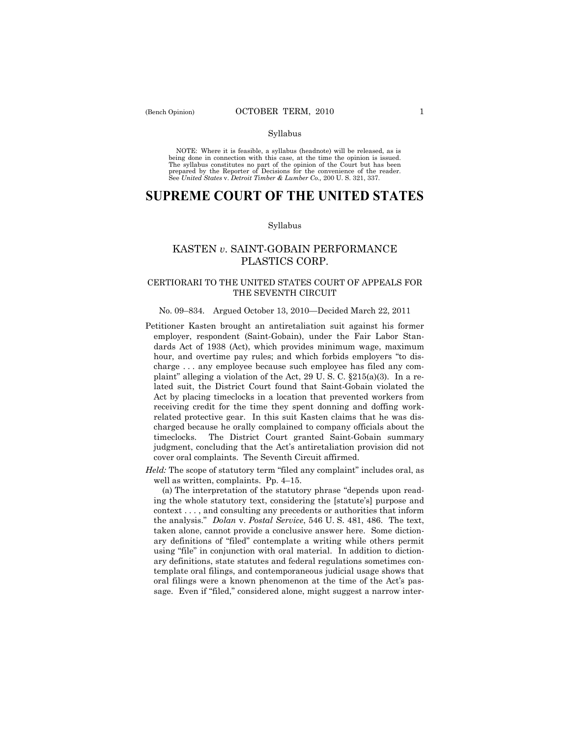#### Syllabus

NOTE: Where it is feasible, a syllabus (headnote) will be released, as is being done in connection with this case, at the time the opinion is issued. The syllabus constitutes no part of the opinion of the Court but has been<br>prepared by the Reporter of Decisions for the convenience of the reader.<br>See United States v. Detroit Timber & Lumber Co., 200 U. S. 321, 337.

# **SUPREME COURT OF THE UNITED STATES**

#### Syllabus

# KASTEN *v*. SAINT-GOBAIN PERFORMANCE PLASTICS CORP.

# CERTIORARI TO THE UNITED STATES COURT OF APPEALS FOR THE SEVENTH CIRCUIT

## No. 09–834. Argued October 13, 2010—Decided March 22, 2011

- Petitioner Kasten brought an antiretaliation suit against his former employer, respondent (Saint-Gobain), under the Fair Labor Standards Act of 1938 (Act), which provides minimum wage, maximum hour, and overtime pay rules; and which forbids employers "to discharge . . . any employee because such employee has filed any complaint" alleging a violation of the Act, 29 U.S.C.  $\S215(a)(3)$ . In a related suit, the District Court found that Saint-Gobain violated the Act by placing timeclocks in a location that prevented workers from receiving credit for the time they spent donning and doffing workrelated protective gear. In this suit Kasten claims that he was discharged because he orally complained to company officials about the timeclocks. The District Court granted Saint-Gobain summary judgment, concluding that the Act's antiretaliation provision did not cover oral complaints. The Seventh Circuit affirmed.
- *Held:* The scope of statutory term "filed any complaint" includes oral, as well as written, complaints. Pp. 4–15.

 (a) The interpretation of the statutory phrase "depends upon reading the whole statutory text, considering the [statute's] purpose and context . . . , and consulting any precedents or authorities that inform the analysis." *Dolan* v. *Postal Service*, 546 U. S. 481, 486. The text, taken alone, cannot provide a conclusive answer here. Some dictionary definitions of "filed" contemplate a writing while others permit using "file" in conjunction with oral material. In addition to dictionary definitions, state statutes and federal regulations sometimes contemplate oral filings, and contemporaneous judicial usage shows that oral filings were a known phenomenon at the time of the Act's passage. Even if "filed," considered alone, might suggest a narrow inter-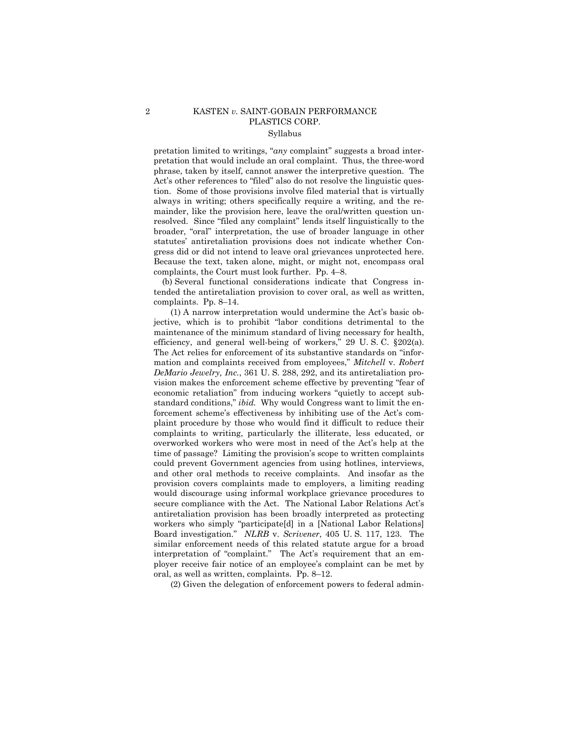# 2 KASTEN *v.* SAINT-GOBAIN PERFORMANCE PLASTICS CORP. Syllabus

pretation limited to writings, "*any* complaint" suggests a broad interpretation that would include an oral complaint. Thus, the three-word phrase, taken by itself, cannot answer the interpretive question. The Act's other references to "filed" also do not resolve the linguistic question. Some of those provisions involve filed material that is virtually always in writing; others specifically require a writing, and the remainder, like the provision here, leave the oral/written question unresolved. Since "filed any complaint" lends itself linguistically to the broader, "oral" interpretation, the use of broader language in other statutes' antiretaliation provisions does not indicate whether Congress did or did not intend to leave oral grievances unprotected here. Because the text, taken alone, might, or might not, encompass oral complaints, the Court must look further. Pp. 4–8.

 (b) Several functional considerations indicate that Congress intended the antiretaliation provision to cover oral, as well as written, complaints. Pp. 8–14.

 (1) A narrow interpretation would undermine the Act's basic objective, which is to prohibit "labor conditions detrimental to the maintenance of the minimum standard of living necessary for health, efficiency, and general well-being of workers," 29 U. S. C. §202(a). The Act relies for enforcement of its substantive standards on "information and complaints received from employees," *Mitchell* v. *Robert DeMario Jewelry, Inc.*, 361 U. S. 288, 292, and its antiretaliation provision makes the enforcement scheme effective by preventing "fear of economic retaliation" from inducing workers "quietly to accept substandard conditions," *ibid.* Why would Congress want to limit the enforcement scheme's effectiveness by inhibiting use of the Act's complaint procedure by those who would find it difficult to reduce their complaints to writing, particularly the illiterate, less educated, or overworked workers who were most in need of the Act's help at the time of passage? Limiting the provision's scope to written complaints could prevent Government agencies from using hotlines, interviews, and other oral methods to receive complaints. And insofar as the provision covers complaints made to employers, a limiting reading would discourage using informal workplace grievance procedures to secure compliance with the Act. The National Labor Relations Act's antiretaliation provision has been broadly interpreted as protecting workers who simply "participate[d] in a [National Labor Relations] Board investigation." *NLRB* v. *Scrivener*, 405 U. S. 117, 123. The similar enforcement needs of this related statute argue for a broad interpretation of "complaint." The Act's requirement that an employer receive fair notice of an employee's complaint can be met by oral, as well as written, complaints. Pp. 8–12.

(2) Given the delegation of enforcement powers to federal admin-